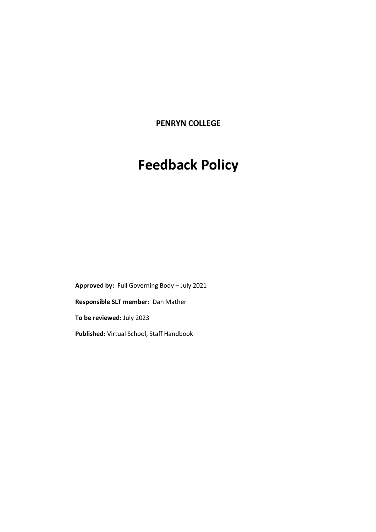**PENRYN COLLEGE**

# **Feedback Policy**

**Approved by:** Full Governing Body – July 2021 **Responsible SLT member:** Dan Mather **To be reviewed:** July 2023 **Published:** Virtual School, Staff Handbook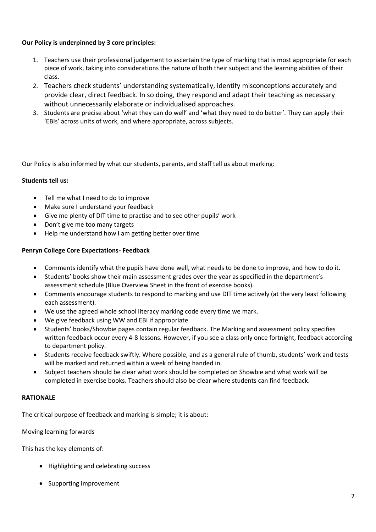# **Our Policy is underpinned by 3 core principles:**

- 1. Teachers use their professional judgement to ascertain the type of marking that is most appropriate for each piece of work, taking into considerations the nature of both their subject and the learning abilities of their class.
- 2. Teachers check students' understanding systematically, identify misconceptions accurately and provide clear, direct feedback. In so doing, they respond and adapt their teaching as necessary without unnecessarily elaborate or individualised approaches.
- 3. Students are precise about 'what they can do well' and 'what they need to do better'. They can apply their 'EBIs' across units of work, and where appropriate, across subjects.

Our Policy is also informed by what our students, parents, and staff tell us about marking:

## **Students tell us:**

- Tell me what I need to do to improve
- Make sure I understand your feedback
- Give me plenty of DIT time to practise and to see other pupils' work
- Don't give me too many targets
- Help me understand how I am getting better over time

## **Penryn College Core Expectations- Feedback**

- Comments identify what the pupils have done well, what needs to be done to improve, and how to do it.
- Students' books show their main assessment grades over the year as specified in the department's assessment schedule (Blue Overview Sheet in the front of exercise books).
- Comments encourage students to respond to marking and use DIT time actively (at the very least following each assessment).
- We use the agreed whole school literacy marking code every time we mark.
- We give feedback using WW and EBI if appropriate
- Students' books/Showbie pages contain regular feedback. The Marking and assessment policy specifies written feedback occur every 4-8 lessons. However, if you see a class only once fortnight, feedback according to department policy.
- Students receive feedback swiftly. Where possible, and as a general rule of thumb, students' work and tests will be marked and returned within a week of being handed in.
- Subject teachers should be clear what work should be completed on Showbie and what work will be completed in exercise books. Teachers should also be clear where students can find feedback.

#### **RATIONALE**

The critical purpose of feedback and marking is simple; it is about:

#### Moving learning forwards

This has the key elements of:

- Highlighting and celebrating success
- Supporting improvement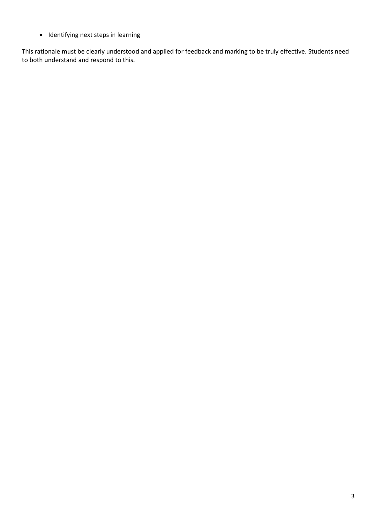• Identifying next steps in learning

This rationale must be clearly understood and applied for feedback and marking to be truly effective. Students need to both understand and respond to this.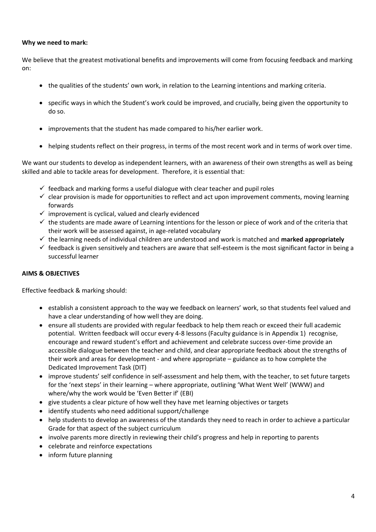#### **Why we need to mark:**

We believe that the greatest motivational benefits and improvements will come from focusing feedback and marking on:

- the qualities of the students' own work, in relation to the Learning intentions and marking criteria.
- specific ways in which the Student's work could be improved, and crucially, being given the opportunity to do so.
- improvements that the student has made compared to his/her earlier work.
- helping students reflect on their progress, in terms of the most recent work and in terms of work over time.

We want our students to develop as independent learners, with an awareness of their own strengths as well as being skilled and able to tackle areas for development. Therefore, it is essential that:

- $\checkmark$  feedback and marking forms a useful dialogue with clear teacher and pupil roles
- $\checkmark$  clear provision is made for opportunities to reflect and act upon improvement comments, moving learning forwards
- $\checkmark$  improvement is cyclical, valued and clearly evidenced
- $\checkmark$  the students are made aware of Learning intentions for the lesson or piece of work and of the criteria that their work will be assessed against, in age-related vocabulary
- ✓ the learning needs of individual children are understood and work is matched and **marked appropriately**
- $\checkmark$  feedback is given sensitively and teachers are aware that self-esteem is the most significant factor in being a successful learner

#### **AIMS & OBJECTIVES**

Effective feedback & marking should:

- establish a consistent approach to the way we feedback on learners' work, so that students feel valued and have a clear understanding of how well they are doing.
- ensure all students are provided with regular feedback to help them reach or exceed their full academic potential. Written feedback will occur every 4-8 lessons (Faculty guidance is in Appendix 1) recognise, encourage and reward student's effort and achievement and celebrate success over-time provide an accessible dialogue between the teacher and child, and clear appropriate feedback about the strengths of their work and areas for development - and where appropriate – guidance as to how complete the Dedicated Improvement Task (DIT)
- improve students' self confidence in self-assessment and help them, with the teacher, to set future targets for the 'next steps' in their learning – where appropriate, outlining 'What Went Well' (WWW) and where/why the work would be 'Even Better if' (EBI)
- give students a clear picture of how well they have met learning objectives or targets
- identify students who need additional support/challenge
- help students to develop an awareness of the standards they need to reach in order to achieve a particular Grade for that aspect of the subject curriculum
- involve parents more directly in reviewing their child's progress and help in reporting to parents
- celebrate and reinforce expectations
- inform future planning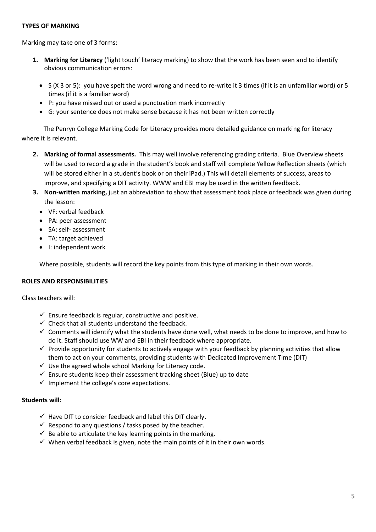#### **TYPES OF MARKING**

Marking may take one of 3 forms:

- **1. Marking for Literacy** ('light touch' literacy marking) to show that the work has been seen and to identify obvious communication errors:
	- S (X 3 or 5): you have spelt the word wrong and need to re-write it 3 times (if it is an unfamiliar word) or 5 times (if it is a familiar word)
	- P: you have missed out or used a punctuation mark incorrectly
	- G: your sentence does not make sense because it has not been written correctly

 The Penryn College Marking Code for Literacy provides more detailed guidance on marking for literacy where it is relevant.

- **2. Marking of formal assessments.** This may well involve referencing grading criteria. Blue Overview sheets will be used to record a grade in the student's book and staff will complete Yellow Reflection sheets (which will be stored either in a student's book or on their iPad.) This will detail elements of success, areas to improve, and specifying a DIT activity. WWW and EBI may be used in the written feedback.
- **3. Non-written marking,** just an abbreviation to show that assessment took place or feedback was given during the lesson:
	- VF: verbal feedback
	- PA: peer assessment
	- SA: self- assessment
	- TA: target achieved
	- I: independent work

Where possible, students will record the key points from this type of marking in their own words.

#### **ROLES AND RESPONSIBILITIES**

Class teachers will:

- $\checkmark$  Ensure feedback is regular, constructive and positive.
- $\checkmark$  Check that all students understand the feedback.
- $\checkmark$  Comments will identify what the students have done well, what needs to be done to improve, and how to do it. Staff should use WW and EBI in their feedback where appropriate.
- $\checkmark$  Provide opportunity for students to actively engage with your feedback by planning activities that allow them to act on your comments, providing students with Dedicated Improvement Time (DIT)
- $\checkmark$  Use the agreed whole school Marking for Literacy code.
- $\checkmark$  Ensure students keep their assessment tracking sheet (Blue) up to date
- $\checkmark$  Implement the college's core expectations.

#### **Students will:**

- $\checkmark$  Have DIT to consider feedback and label this DIT clearly.
- $\checkmark$  Respond to any questions / tasks posed by the teacher.
- $\checkmark$  Be able to articulate the key learning points in the marking.
- $\checkmark$  When verbal feedback is given, note the main points of it in their own words.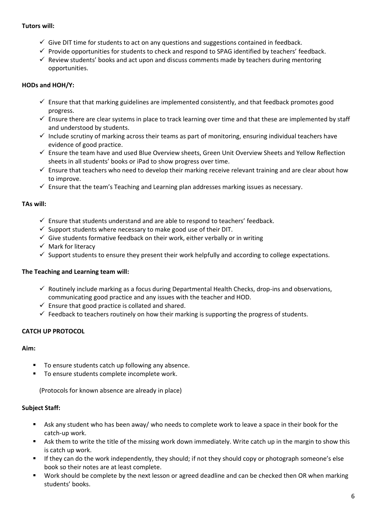#### **Tutors will:**

- $\checkmark$  Give DIT time for students to act on any questions and suggestions contained in feedback.
- $\checkmark$  Provide opportunities for students to check and respond to SPAG identified by teachers' feedback.
- $\checkmark$  Review students' books and act upon and discuss comments made by teachers during mentoring opportunities.

# **HODs and HOH/Y:**

- $\checkmark$  Ensure that that marking guidelines are implemented consistently, and that feedback promotes good progress.
- $\checkmark$  Ensure there are clear systems in place to track learning over time and that these are implemented by staff and understood by students.
- $\checkmark$  Include scrutiny of marking across their teams as part of monitoring, ensuring individual teachers have evidence of good practice.
- ✓ Ensure the team have and used Blue Overview sheets, Green Unit Overview Sheets and Yellow Reflection sheets in all students' books or iPad to show progress over time.
- $\checkmark$  Ensure that teachers who need to develop their marking receive relevant training and are clear about how to improve.
- $\checkmark$  Ensure that the team's Teaching and Learning plan addresses marking issues as necessary.

# **TAs will:**

- $\checkmark$  Ensure that students understand and are able to respond to teachers' feedback.
- $\checkmark$  Support students where necessary to make good use of their DIT.
- $\checkmark$  Give students formative feedback on their work, either verbally or in writing
- ✓ Mark for literacy
- $\checkmark$  Support students to ensure they present their work helpfully and according to college expectations.

## **The Teaching and Learning team will:**

- $\checkmark$  Routinely include marking as a focus during Departmental Health Checks, drop-ins and observations, communicating good practice and any issues with the teacher and HOD.
- $\checkmark$  Ensure that good practice is collated and shared.
- $\checkmark$  Feedback to teachers routinely on how their marking is supporting the progress of students.

# **CATCH UP PROTOCOL**

## **Aim:**

- To ensure students catch up following any absence.
- To ensure students complete incomplete work.

(Protocols for known absence are already in place)

## **Subject Staff:**

- Ask any student who has been away/ who needs to complete work to leave a space in their book for the catch-up work.
- Ask them to write the title of the missing work down immediately. Write catch up in the margin to show this is catch up work.
- If they can do the work independently, they should; if not they should copy or photograph someone's else book so their notes are at least complete.
- Work should be complete by the next lesson or agreed deadline and can be checked then OR when marking students' books.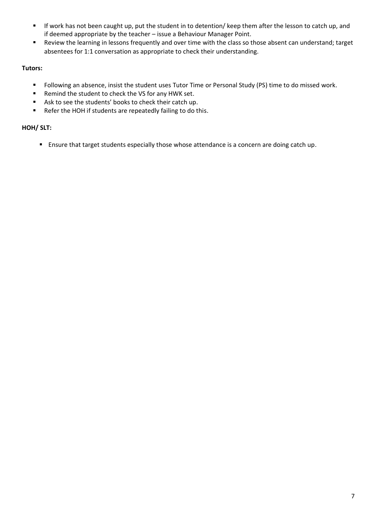- If work has not been caught up, put the student in to detention/ keep them after the lesson to catch up, and if deemed appropriate by the teacher – issue a Behaviour Manager Point.
- Review the learning in lessons frequently and over time with the class so those absent can understand; target absentees for 1:1 conversation as appropriate to check their understanding.

# **Tutors:**

- Following an absence, insist the student uses Tutor Time or Personal Study (PS) time to do missed work.
- Remind the student to check the VS for any HWK set.
- Ask to see the students' books to check their catch up.
- Refer the HOH if students are repeatedly failing to do this.

# **HOH/ SLT:**

■ Ensure that target students especially those whose attendance is a concern are doing catch up.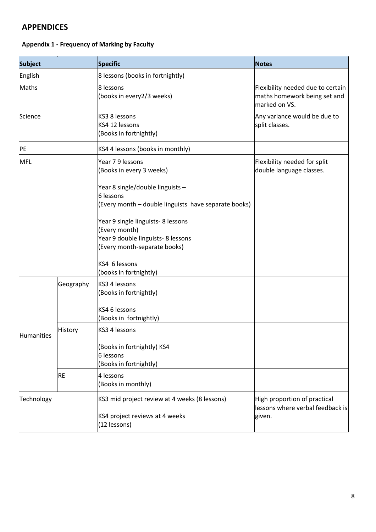# **APPENDICES**

# **Appendix 1 - Frequency of Marking by Faculty**

| <b>Subject</b> |           | <b>Specific</b>                                                                                                           | <b>Notes</b>                                                                       |
|----------------|-----------|---------------------------------------------------------------------------------------------------------------------------|------------------------------------------------------------------------------------|
| English        |           | 8 lessons (books in fortnightly)                                                                                          |                                                                                    |
| Maths          |           | 8 lessons<br>(books in every2/3 weeks)                                                                                    | Flexibility needed due to certain<br>maths homework being set and<br>marked on VS. |
| Science        |           | KS3 8 lessons<br>KS4 12 lessons<br>(Books in fortnightly)                                                                 | Any variance would be due to<br>split classes.                                     |
| PE             |           | KS4 4 lessons (books in monthly)                                                                                          |                                                                                    |
| <b>MFL</b>     |           | Year 79 lessons<br>(Books in every 3 weeks)                                                                               | Flexibility needed for split<br>double language classes.                           |
|                |           | Year 8 single/double linguists -<br>6 lessons<br>(Every month - double linguists have separate books)                     |                                                                                    |
|                |           | Year 9 single linguists- 8 lessons<br>(Every month)<br>Year 9 double linguists- 8 lessons<br>(Every month-separate books) |                                                                                    |
|                |           | KS4 6 lessons<br>(books in fortnightly)                                                                                   |                                                                                    |
|                | Geography | KS3 4 lessons<br>(Books in fortnightly)                                                                                   |                                                                                    |
| Humanities     |           | KS4 6 lessons<br>(Books in fortnightly)                                                                                   |                                                                                    |
|                | History   | KS3 4 lessons                                                                                                             |                                                                                    |
|                |           | (Books in fortnightly) KS4<br>6 lessons<br>(Books in fortnightly)                                                         |                                                                                    |
|                | <b>RE</b> | 4 lessons<br>(Books in monthly)                                                                                           |                                                                                    |
| Technology     |           | KS3 mid project review at 4 weeks (8 lessons)                                                                             | High proportion of practical<br>lessons where verbal feedback is                   |
|                |           | KS4 project reviews at 4 weeks<br>(12 lessons)                                                                            | given.                                                                             |